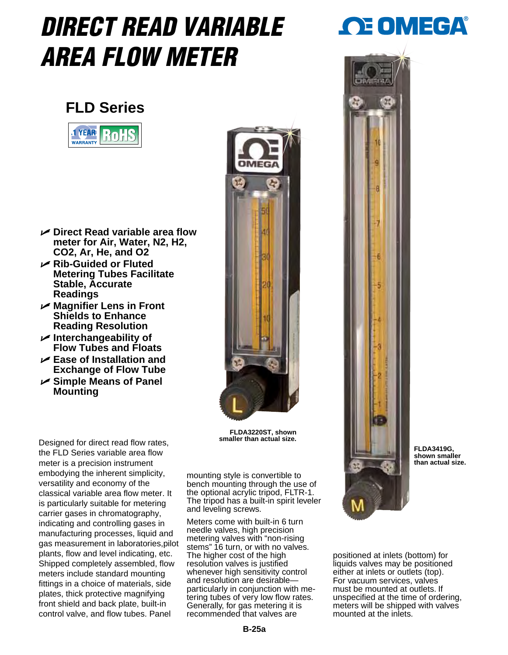## *DIRECT READ VARIABLE AREA FLOW METER*

## **FLD Series**



- **Direct Read variable area flow meter for Air, Water, N2, H2, CO2, Ar, He, and O2**
- **Rib-Guided or Fluted Metering Tubes Facilitate Stable, Accurate Readings**
- **Magnifier Lens in Front Shields to Enhance Reading Resolution**
- **Interchangeability of Flow Tubes and Floats**
- **Ease of Installation and Exchange of Flow Tube**
- **Simple Means of Panel Mounting**



**FLDA3220ST, shown** 

Designed for direct read flow rates, the FLD Series variable area flow meter is a precision instrument embodying the inherent simplicity, versatility and economy of the classical variable area flow meter. It is particularly suitable for metering carrier gases in chromatography, indicating and controlling gases in manufacturing processes, liquid and gas measurement in laboratories,pilot plants, flow and level indicating, etc. Shipped completely assembled, flow meters include standard mounting fittings in a choice of materials, side plates, thick protective magnifying front shield and back plate, built-in control valve, and flow tubes. Panel

mounting style is convertible to bench mounting through the use of the optional acrylic tripod, FLTR-1. The tripod has a built-in spirit leveler and leveling screws.

Meters come with built-in 6 turn needle valves, high precision metering valves with "non-rising stems" 16 turn, or with no valves. The higher cost of the high resolution valves is justified whenever high sensitivity control and resolution are desirable particularly in conjunction with metering tubes of very low flow rates. Generally, for gas metering it is recommended that valves are





**FLDA3419G, shown smaller than actual size.**

positioned at inlets (bottom) for liquids valves may be positioned either at inlets or outlets (top). For vacuum services, valves must be mounted at outlets. If unspecified at the time of ordering, meters will be shipped with valves mounted at the inlets.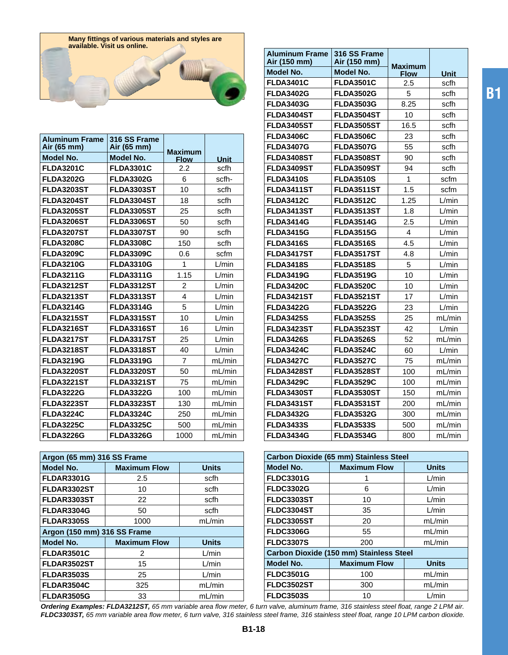

| <b>Aluminum Frame</b><br>Air (65 mm) | 316 SS Frame<br>Air (65 mm) | <b>Maximum</b> |             |
|--------------------------------------|-----------------------------|----------------|-------------|
| Model No.                            | Model No.                   | <b>Flow</b>    | <b>Unit</b> |
| <b>FLDA3201C</b>                     | <b>FLDA3301C</b>            | 2.2            | scfh        |
| <b>FLDA3202G</b>                     | <b>FLDA3302G</b>            | 6              | scfh-       |
| <b>FLDA3203ST</b>                    | <b>FLDA3303ST</b>           | 10             | scfh        |
| FLDA3204ST                           | FLDA3304ST                  | 18             | scfh        |
| <b>FLDA3205ST</b>                    | <b>FLDA3305ST</b>           | 25             | scfh        |
| <b>FLDA3206ST</b>                    | <b>FLDA3306ST</b>           | 50             | scfh        |
| <b>FLDA3207ST</b>                    | <b>FLDA3307ST</b>           | 90             | scfh        |
| <b>FLDA3208C</b>                     | <b>FLDA3308C</b>            | 150            | scfh        |
| <b>FLDA3209C</b>                     | <b>FLDA3309C</b>            | 0.6            | scfm        |
| <b>FLDA3210G</b>                     | <b>FLDA3310G</b>            | 1              | L/min       |
| <b>FLDA3211G</b>                     | <b>FLDA3311G</b>            | 1.15           | L/min       |
| <b>FLDA3212ST</b>                    | <b>FLDA3312ST</b>           | 2              | L/min       |
| <b>FLDA3213ST</b>                    | <b>FLDA3313ST</b>           | 4              | L/min       |
| <b>FLDA3214G</b>                     | <b>FLDA3314G</b>            | 5              | L/min       |
| <b>FLDA3215ST</b>                    | <b>FLDA3315ST</b>           | 10             | L/min       |
| <b>FLDA3216ST</b>                    | <b>FLDA3316ST</b>           | 16             | L/min       |
| <b>FLDA3217ST</b>                    | FLDA3317ST                  | 25             | L/min       |
| <b>FLDA3218ST</b>                    | <b>FLDA3318ST</b>           | 40             | L/min       |
| <b>FLDA3219G</b>                     | <b>FLDA3319G</b>            | $\overline{7}$ | mL/min      |
| <b>FLDA3220ST</b>                    | <b>FLDA3320ST</b>           | 50             | mL/min      |
| <b>FLDA3221ST</b>                    | <b>FLDA3321ST</b>           | 75             | mL/min      |
| <b>FLDA3222G</b>                     | <b>FLDA3322G</b>            | 100            | mL/min      |
| <b>FLDA3223ST</b>                    | <b>FLDA3323ST</b>           | 130            | mL/min      |
| <b>FLDA3224C</b>                     | <b>FLDA3324C</b>            | 250            | mL/min      |
| <b>FLDA3225C</b>                     | <b>FLDA3325C</b>            | 500            | mL/min      |
| <b>FLDA3226G</b>                     | <b>FLDA3326G</b>            | 1000           | mL/min      |

| Argon (65 mm) 316 SS Frame  |                     |              |
|-----------------------------|---------------------|--------------|
| Model No.                   | <b>Maximum Flow</b> | <b>Units</b> |
| <b>FLDAR3301G</b>           | 2.5                 | scfh         |
| FLDAR3302ST                 | 10                  | scfh         |
| FLDAR3303ST                 | 22                  | scfh         |
| FLDAR3304G                  | 50                  | scfh         |
| <b>FLDAR3305S</b>           | 1000                | mL/min       |
| Argon (150 mm) 316 SS Frame |                     |              |
|                             |                     |              |
| Model No.                   | <b>Maximum Flow</b> | <b>Units</b> |
| FLDAR3501C                  | 2                   | L/min        |
| FLDAR3502ST                 | 15                  | L/min        |
| <b>FLDAR3503S</b>           | 25                  | L/min        |
| FLDAR3504C                  | 325                 | mL/min       |

| <b>Aluminum Frame</b><br>Air (150 mm) | 316 SS Frame<br>Air (150 mm) |                        |             |
|---------------------------------------|------------------------------|------------------------|-------------|
| Model No.                             | Model No.                    | Maximum<br><b>Flow</b> | <b>Unit</b> |
| <b>FLDA3401C</b>                      | <b>FLDA3501C</b>             | 2.5                    | scfh        |
| <b>FLDA3402G</b>                      | <b>FLDA3502G</b>             | 5                      | scfh        |
| <b>FLDA3403G</b>                      | <b>FLDA3503G</b>             | 8.25                   | scfh        |
| FLDA3404ST                            | FLDA3504ST                   | 10                     | scfh        |
| <b>FLDA3405ST</b>                     | <b>FLDA3505ST</b>            | 16.5                   | scfh        |
| <b>FLDA3406C</b>                      | <b>FLDA3506C</b>             | 23                     | scfh        |
| <b>FLDA3407G</b>                      | <b>FLDA3507G</b>             | 55                     | scfh        |
| FLDA3408ST                            | <b>FLDA3508ST</b>            | 90                     | scfh        |
| FLDA3409ST                            | FLDA3509ST                   | 94                     | scfh        |
| <b>FLDA3410S</b>                      | <b>FLDA3510S</b>             | 1                      | scfm        |
| FLDA3411ST                            | FLDA3511ST                   | 1.5                    | scfm        |
| <b>FLDA3412C</b>                      | <b>FLDA3512C</b>             | 1.25                   | L/min       |
| <b>FLDA3413ST</b>                     | <b>FLDA3513ST</b>            | 1.8                    | L/min       |
| <b>FLDA3414G</b>                      | <b>FLDA3514G</b>             | 2.5                    | L/min       |
| <b>FLDA3415G</b>                      | <b>FLDA3515G</b>             | 4                      | L/min       |
| <b>FLDA3416S</b>                      | <b>FLDA3516S</b>             | 4.5                    | L/min       |
| FLDA3417ST                            | <b>FLDA3517ST</b>            | 4.8                    | L/min       |
| <b>FLDA3418S</b>                      | <b>FLDA3518S</b>             | 5                      | L/min       |
| <b>FLDA3419G</b>                      | <b>FLDA3519G</b>             | 10                     | L/min       |
| <b>FLDA3420C</b>                      | <b>FLDA3520C</b>             | 10                     | L/min       |
| <b>FLDA3421ST</b>                     | FLDA3521ST                   | 17                     | L/min       |
| <b>FLDA3422G</b>                      | <b>FLDA3522G</b>             | 23                     | L/min       |
| <b>FLDA3425S</b>                      | <b>FLDA3525S</b>             | 25                     | mL/min      |
| <b>FLDA3423ST</b>                     | <b>FLDA3523ST</b>            | 42                     | L/min       |
| <b>FLDA3426S</b>                      | <b>FLDA3526S</b>             | 52                     | mL/min      |
| <b>FLDA3424C</b>                      | <b>FLDA3524C</b>             | 60                     | L/min       |
| <b>FLDA3427C</b>                      | <b>FLDA3527C</b>             | 75                     | mL/min      |
| FLDA3428ST                            | <b>FLDA3528ST</b>            | 100                    | mL/min      |
| <b>FLDA3429C</b>                      | <b>FLDA3529C</b>             | 100                    | mL/min      |
| FLDA3430ST                            | <b>FLDA3530ST</b>            | 150                    | mL/min      |
| FLDA3431ST                            | FLDA3531ST                   | 200                    | mL/min      |
| <b>FLDA3432G</b>                      | <b>FLDA3532G</b>             | 300                    | mL/min      |
| <b>FLDA3433S</b>                      | <b>FLDA3533S</b>             | 500                    | mL/min      |
| <b>FLDA3434G</b>                      | <b>FLDA3534G</b>             | 800                    | mL/min      |

| <b>Carbon Dioxide (65 mm) Stainless Steel</b>  |                     |              |
|------------------------------------------------|---------------------|--------------|
| <b>Model No.</b>                               | <b>Maximum Flow</b> | <b>Units</b> |
| <b>FLDC3301G</b>                               |                     | L/min        |
| <b>FLDC3302G</b>                               | 6                   | L/min        |
| <b>FLDC3303ST</b>                              | 10                  | L/min        |
| <b>FLDC3304ST</b>                              | 35                  | L/min        |
| <b>FLDC3305ST</b>                              | 20                  | mL/min       |
| <b>FLDC3306G</b>                               | 55                  | mL/min       |
| <b>FLDC3307S</b>                               | 200                 | mL/min       |
| <b>Carbon Dioxide (150 mm) Stainless Steel</b> |                     |              |
| <b>Model No.</b>                               | <b>Maximum Flow</b> | <b>Units</b> |
| <b>FLDC3501G</b>                               | 100                 | mL/min       |
| <b>FLDC3502ST</b>                              | 300                 | mL/min       |
| <b>FLDC3503S</b>                               | 10                  | L/min        |

*Ordering Examples: FLDA3212ST, 65 mm variable area flow meter, 6 turn valve, aluminum frame, 316 stainless steel float, range 2 LPM air. FLDC3303ST, 65 mm variable area flow meter, 6 turn valve, 316 stainless steel frame, 316 stainless steel float, range 10 LPM carbon dioxide.*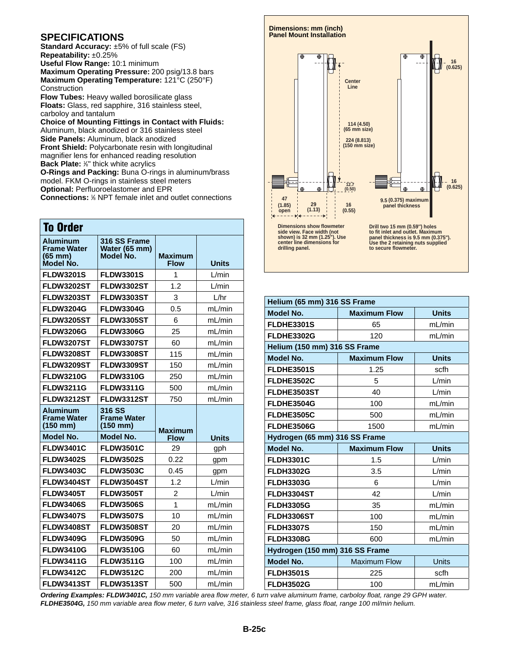## **SPECIFICATIONS**

**Standard Accuracy:** ±5% of full scale (FS) **Repeatability:** ±0.25%

**Useful Flow Range:** 10:1 minimum **Maximum Operating Pressure:** 200 psig/13.8 bars **Maximum Operating Temperature:** 121°C (250°F) **Construction** 

**Flow Tubes:** Heavy walled borosilicate glass **Floats:** Glass, red sapphire, 316 stainless steel, carboloy and tantalum

**Choice of Mounting Fittings in Contact with Fluids:** Aluminum, black anodized or 316 stainless steel **Side Panels:** Aluminum, black anodized **Front Shield:** Polycarbonate resin with longitudinal magnifier lens for enhanced reading resolution **Back Plate:** <sup>1</sup> ⁄8" thick white acrylics

**O-Rings and Packing:** Buna O-rings in aluminum/brass model. FKM O-rings in stainless steel meters **Optional:** Perfluoroelastomer and EPR **Connections:** <sup>1</sup> ⁄8 NPT female inlet and outlet connections

| <b>To Order</b>                                                    |                                            |                               |              |
|--------------------------------------------------------------------|--------------------------------------------|-------------------------------|--------------|
| <b>Aluminum</b><br><b>Frame Water</b><br>$(65$ mm $)$<br>Model No. | 316 SS Frame<br>Water (65 mm)<br>Model No. | <b>Maximum</b><br><b>Flow</b> | <b>Units</b> |
| <b>FLDW3201S</b>                                                   | <b>FLDW3301S</b>                           | 1                             | L/min        |
| <b>FLDW3202ST</b>                                                  | <b>FLDW3302ST</b>                          | 1.2                           | L/min        |
| <b>FLDW3203ST</b>                                                  | <b>FLDW3303ST</b>                          | 3                             | L/hr         |
| <b>FLDW3204G</b>                                                   | <b>FLDW3304G</b>                           | 0.5                           | mL/min       |
| <b>FLDW3205ST</b>                                                  | <b>FLDW3305ST</b>                          | 6                             | mL/min       |
| <b>FLDW3206G</b>                                                   | <b>FLDW3306G</b>                           | 25                            | mL/min       |
| <b>FLDW3207ST</b>                                                  | <b>FLDW3307ST</b>                          | 60                            | mL/min       |
| <b>FLDW3208ST</b>                                                  | FLDW3308ST                                 | 115                           | mL/min       |
| FLDW3209ST                                                         | FLDW3309ST                                 | 150                           | mL/min       |
| <b>FLDW3210G</b>                                                   | <b>FLDW3310G</b>                           | 250                           | mL/min       |
| <b>FLDW3211G</b>                                                   | <b>FLDW3311G</b>                           | 500                           | mL/min       |
| <b>FLDW3212ST</b>                                                  | <b>FLDW3312ST</b>                          | 750                           | ml/min       |
|                                                                    |                                            |                               |              |
| <b>Aluminum</b><br><b>Frame Water</b><br>$(150 \, \text{mm})$      | 316 SS<br><b>Frame Water</b><br>$(150$ mm) |                               |              |
| Model No.                                                          | Model No.                                  | <b>Maximum</b><br><b>Flow</b> | <b>Units</b> |
| <b>FLDW3401C</b>                                                   | <b>FLDW3501C</b>                           | 29                            | gph          |
| <b>FLDW3402S</b>                                                   | <b>FLDW3502S</b>                           | 0.22                          | gpm          |
| <b>FLDW3403C</b>                                                   | <b>FLDW3503C</b>                           | 0.45                          | gpm          |
| FLDW3404ST                                                         | FLDW3504ST                                 | 1.2                           | L/min        |
| <b>FLDW3405T</b>                                                   | <b>FLDW3505T</b>                           | $\overline{2}$                | L/min        |
| <b>FLDW3406S</b>                                                   | <b>FLDW3506S</b>                           | 1                             | mL/min       |
| <b>FLDW3407S</b>                                                   | <b>FLDW3507S</b>                           | 10                            | mL/min       |
| <b>FLDW3408ST</b>                                                  | <b>FLDW3508ST</b>                          | 20                            | mL/min       |
| <b>FLDW3409G</b>                                                   | <b>FLDW3509G</b>                           | 50                            | mL/min       |
| <b>FLDW3410G</b>                                                   | <b>FLDW3510G</b>                           | 60                            | mL/min       |
| <b>FLDW3411G</b>                                                   | <b>FLDW3511G</b>                           | 100                           | mL/min       |
| <b>FLDW3412C</b>                                                   | <b>FLDW3512C</b>                           | 200                           | mL/min       |



| Helium (65 mm) 316 SS Frame    |                     |              |
|--------------------------------|---------------------|--------------|
| <b>Model No.</b>               | <b>Maximum Flow</b> | <b>Units</b> |
| <b>FLDHE3301S</b>              | 65                  | mL/min       |
| <b>FLDHE3302G</b>              | 120                 | mL/min       |
| Helium (150 mm) 316 SS Frame   |                     |              |
| <b>Model No.</b>               | <b>Maximum Flow</b> | <b>Units</b> |
| FLDHE3501S                     | 1.25                | scfh         |
| FLDHE3502C                     | 5                   | L/min        |
| FLDHE3503ST                    | 40                  | L/min        |
| FLDHE3504G                     | 100                 | mL/min       |
| <b>FLDHE3505C</b>              | 500                 | mL/min       |
| FLDHE3506G                     | 1500                | mL/min       |
| Hydrogen (65 mm) 316 SS Frame  |                     |              |
| <b>Model No.</b>               | <b>Maximum Flow</b> | <b>Units</b> |
| <b>FLDH3301C</b>               | 1.5                 | L/min        |
| <b>FLDH3302G</b>               | 3.5                 | L/min        |
| <b>FLDH3303G</b>               | 6                   | L/min        |
| FLDH3304ST                     | 42                  | L/min        |
| <b>FLDH3305G</b>               | 35                  | mL/min       |
| <b>FLDH3306ST</b>              | 100                 | mL/min       |
| <b>FLDH3307S</b>               | 150                 | mL/min       |
| <b>FLDH3308G</b>               | 600                 | mL/min       |
| Hydrogen (150 mm) 316 SS Frame |                     |              |
| <b>Model No.</b>               | <b>Maximum Flow</b> | Units        |
|                                |                     |              |
| <b>FLDH3501S</b>               | 225                 | scfh         |

*Ordering Examples: FLDW3401C, 150 mm variable area flow meter, 6 turn valve aluminum frame, carboloy float, range 29 GPH water. FLDHE3504G, 150 mm variable area flow meter, 6 turn valve, 316 stainless steel frame, glass float, range 100 ml/min helium.*